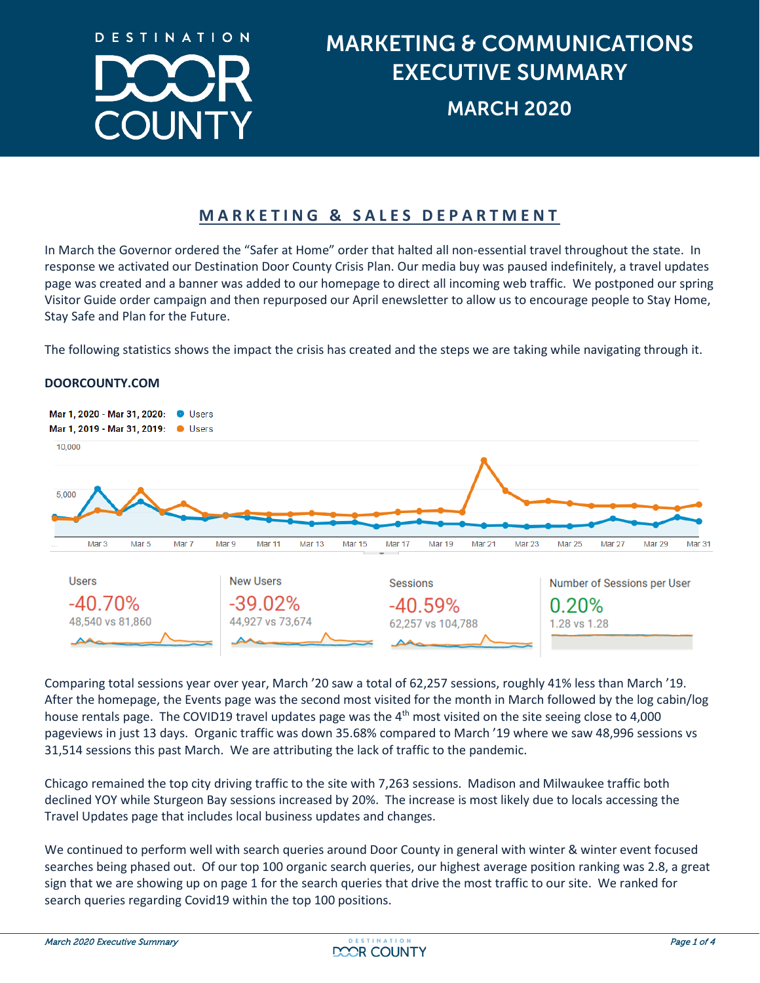

# MARKETING & COMMUNICATIONS EXECUTIVE SUMMARY MARCH 2020

### **MARKETING & SALES DEPARTMENT**

In March the Governor ordered the "Safer at Home" order that halted all non-essential travel throughout the state. In response we activated our Destination Door County Crisis Plan. Our media buy was paused indefinitely, a travel updates page was created and a banner was added to our homepage to direct all incoming web traffic. We postponed our spring Visitor Guide order campaign and then repurposed our April enewsletter to allow us to encourage people to Stay Home, Stay Safe and Plan for the Future.

The following statistics shows the impact the crisis has created and the steps we are taking while navigating through it.



#### **DOORCOUNTY.COM**

Comparing total sessions year over year, March '20 saw a total of 62,257 sessions, roughly 41% less than March '19. After the homepage, the Events page was the second most visited for the month in March followed by the log cabin/log house rentals page. The COVID19 travel updates page was the 4<sup>th</sup> most visited on the site seeing close to 4,000 pageviews in just 13 days. Organic traffic was down 35.68% compared to March '19 where we saw 48,996 sessions vs 31,514 sessions this past March. We are attributing the lack of traffic to the pandemic.

Chicago remained the top city driving traffic to the site with 7,263 sessions. Madison and Milwaukee traffic both declined YOY while Sturgeon Bay sessions increased by 20%. The increase is most likely due to locals accessing the Travel Updates page that includes local business updates and changes.

We continued to perform well with search queries around Door County in general with winter & winter event focused searches being phased out. Of our top 100 organic search queries, our highest average position ranking was 2.8, a great sign that we are showing up on page 1 for the search queries that drive the most traffic to our site. We ranked for search queries regarding Covid19 within the top 100 positions.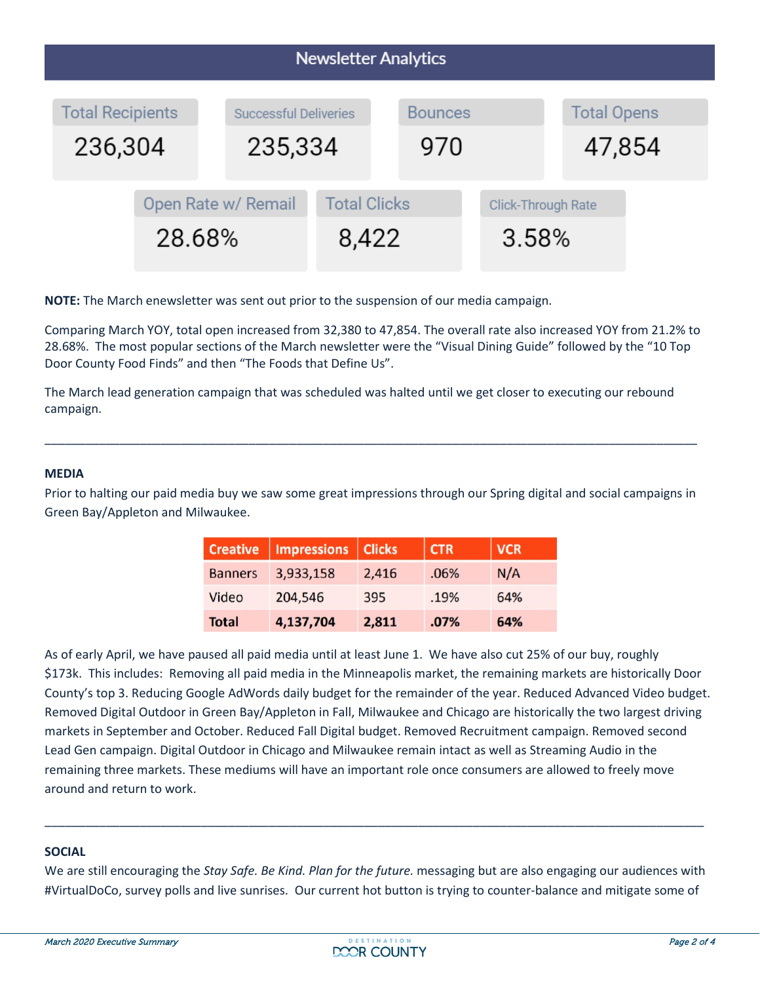| <b>Newsletter Analytics</b>        |                               |                                         |                              |                       |                             |  |                              |  |  |  |
|------------------------------------|-------------------------------|-----------------------------------------|------------------------------|-----------------------|-----------------------------|--|------------------------------|--|--|--|
| <b>Total Recipients</b><br>236,304 |                               | <b>Successful Deliveries</b><br>235,334 |                              | <b>Bounces</b><br>970 |                             |  | <b>Total Opens</b><br>47,854 |  |  |  |
|                                    | Open Rate w/ Remail<br>28.68% |                                         | <b>Total Clicks</b><br>8,422 |                       | Click-Through Rate<br>3.58% |  |                              |  |  |  |

**NOTE:** The March enewsletter was sent out prior to the suspension of our media campaign.

Comparing March YOY, total open increased from 32,380 to 47,854. The overall rate also increased YOY from 21.2% to 28.68%. The most popular sections of the March newsletter were the "Visual Dining Guide" followed by the "10 Top Door County Food Finds" and then "The Foods that Define Us".

The March lead generation campaign that was scheduled was halted until we get closer to executing our rebound campaign.

#### **MEDIA**

Prior to halting our paid media buy we saw some great impressions through our Spring digital and social campaigns in Green Bay/Appleton and Milwaukee.

\_\_\_\_\_\_\_\_\_\_\_\_\_\_\_\_\_\_\_\_\_\_\_\_\_\_\_\_\_\_\_\_\_\_\_\_\_\_\_\_\_\_\_\_\_\_\_\_\_\_\_\_\_\_\_\_\_\_\_\_\_\_\_\_\_\_\_\_\_\_\_\_\_\_\_\_\_\_\_\_\_\_\_\_\_\_\_\_\_\_\_\_\_\_\_\_

| <b>Creative</b> | Impressions   Clicks |       | <b>CTR</b> | <b>VCR</b> |
|-----------------|----------------------|-------|------------|------------|
| <b>Banners</b>  | 3,933,158            | 2,416 | .06%       | N/A        |
| Video           | 204,546              | 395   | .19%       | 64%        |
| <b>Total</b>    | 4,137,704            | 2,811 | .07%       | 64%        |

As of early April, we have paused all paid media until at least June 1. We have also cut 25% of our buy, roughly \$173k. This includes: Removing all paid media in the Minneapolis market, the remaining markets are historically Door County's top 3. Reducing Google AdWords daily budget for the remainder of the year. Reduced Advanced Video budget. Removed Digital Outdoor in Green Bay/Appleton in Fall, Milwaukee and Chicago are historically the two largest driving markets in September and October. Reduced Fall Digital budget. Removed Recruitment campaign. Removed second Lead Gen campaign. Digital Outdoor in Chicago and Milwaukee remain intact as well as Streaming Audio in the remaining three markets. These mediums will have an important role once consumers are allowed to freely move around and return to work.

#### **SOCIAL**

We are still encouraging the *Stay Safe. Be Kind. Plan for the future.* messaging but are also engaging our audiences with #VirtualDoCo, survey polls and live sunrises. Our current hot button is trying to counter-balance and mitigate some of

\_\_\_\_\_\_\_\_\_\_\_\_\_\_\_\_\_\_\_\_\_\_\_\_\_\_\_\_\_\_\_\_\_\_\_\_\_\_\_\_\_\_\_\_\_\_\_\_\_\_\_\_\_\_\_\_\_\_\_\_\_\_\_\_\_\_\_\_\_\_\_\_\_\_\_\_\_\_\_\_\_\_\_\_\_\_\_\_\_\_\_\_\_\_\_\_\_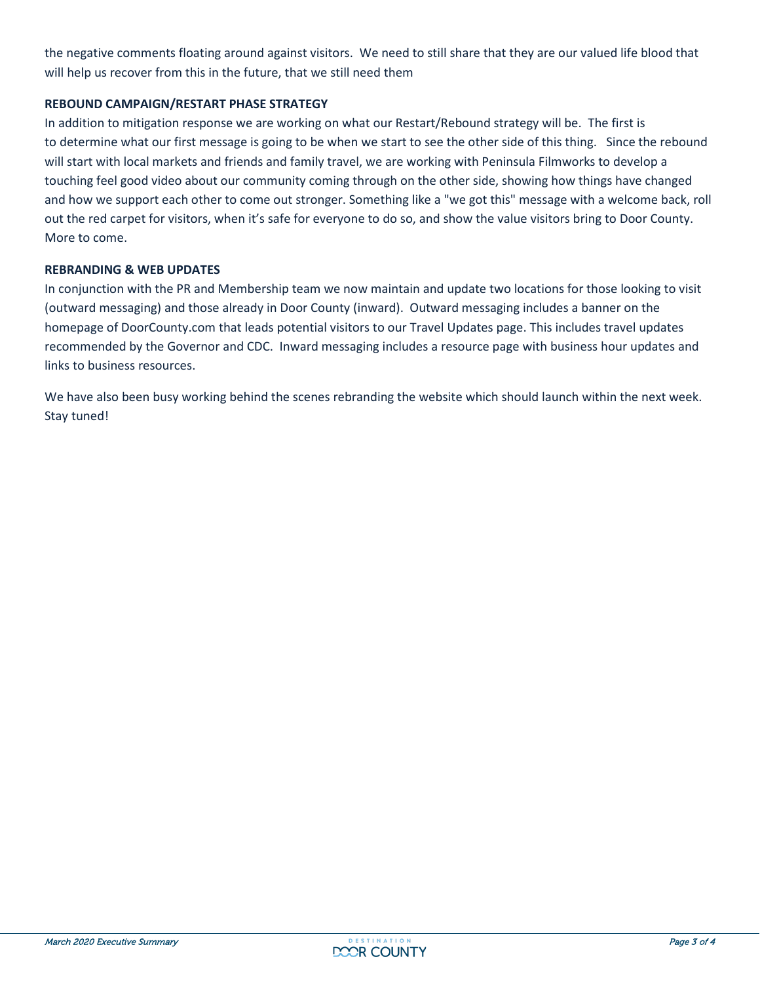the negative comments floating around against visitors. We need to still share that they are our valued life blood that will help us recover from this in the future, that we still need them

#### **REBOUND CAMPAIGN/RESTART PHASE STRATEGY**

In addition to mitigation response we are working on what our Restart/Rebound strategy will be. The first is to determine what our first message is going to be when we start to see the other side of this thing. Since the rebound will start with local markets and friends and family travel, we are working with Peninsula Filmworks to develop a touching feel good video about our community coming through on the other side, showing how things have changed and how we support each other to come out stronger. Something like a "we got this" message with a welcome back, roll out the red carpet for visitors, when it's safe for everyone to do so, and show the value visitors bring to Door County. More to come.

#### **REBRANDING & WEB UPDATES**

In conjunction with the PR and Membership team we now maintain and update two locations for those looking to visit (outward messaging) and those already in Door County (inward). Outward messaging includes a banner on the homepage of DoorCounty.com that leads potential visitors to our Travel Updates page. This includes travel updates recommended by the Governor and CDC. Inward messaging includes a resource page with business hour updates and links to business resources.

We have also been busy working behind the scenes rebranding the website which should launch within the next week. Stay tuned!